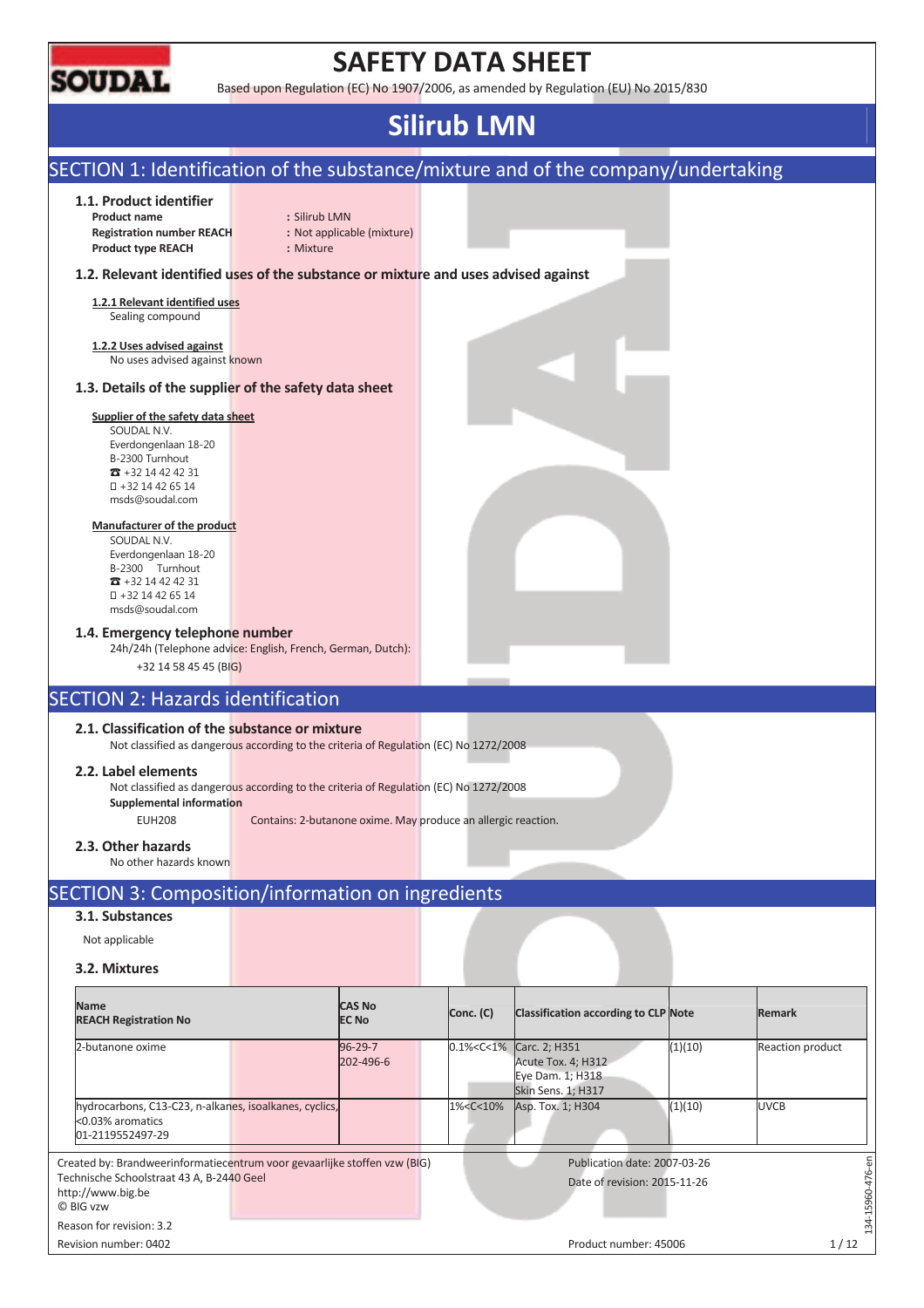

# **SAFETY DATA SHEET**

Based upon Regulation (EC) No 1907/2006, as amended by Regulation (EU) No 2015/830

# **Silirub LMN**

#### SECTION 1: Identification of the substance/mixture and of the company/undertaking **1.1. Product identifier Product name :** Silirub LMN **Registration number REACH :** Not applicable (mixture) **Product type REACH :** Mixture **1.2. Relevant identified uses of the substance or mixture and uses advised against 1.2.1 Relevant identified uses**  Sealing compound **1.2.2 Uses advised against**  No uses advised against known **1.3. Details of the supplier of the safety data sheet Supplier of the safety data sheet**  SOUDAL N.V. Everdongenlaan 18-20 B-2300 Turnhout  $\overline{3}$  +32 14 42 42 31 +32 14 42 65 14 msds@soudal.com **Manufacturer of the product**  SOUDAL N.V. Everdongenlaan 18-20 B-2300 Turnhout  $\overline{3}$  +32 14 42 42 31 +32 14 42 65 14 msds@soudal.com **1.4. Emergency telephone number**  24h/24h (Telephone advice: English, French, German, Dutch): +32 14 58 45 45 (BIG) SECTION 2: Hazards identification **2.1. Classification of the substance or mixture**  Not classified as dangerous according to the criteria of Regulation (EC) No 1272/2008 **2.2. Label elements**  Not classified as dangerous according to the criteria of Regulation (EC) No 1272/2008 **Supplemental information**  EUH208 Contains: 2-butanone oxime. May produce an allergic reaction. **2.3. Other hazards**  No other hazards known SECTION 3: Composition/information on ingredients **3.1. Substances**  Not applicable **3.2. Mixtures Name CAS No Conc. (C)** Classification according to CLP Note **Remark REACH Registration No**  2-butanone oxime 96-29-7 0.1%<C<1% Carc. 2; H351 (1)(10) Reaction product 202-496-6 Acute Tox. 4; H312 Eye Dam. 1; H318 Skin Sens. 1; H317 hydrocarbons, C13-C23, n-alkanes, isoalkanes, cyclics, 1%<C<10% Asp. Tox. 1; H304 (1)(10) UVCB <0.03% aromatics 01-2119552497-29 Publication date: 2007-03-26 Created by: Brandweerinformatiecentrum voor gevaarlijke stoffen vzw (BIG)  $-15960 - 476 - en$ 134-15960-476-en Technische Schoolstraat 43 A, B-2440 Geel Date of revision: 2015-11-26 http://www.big.be © BIG vzw  $-34$ Reason for revision: 3.2

Revision number: 0402 Product number: 45006 1 / 12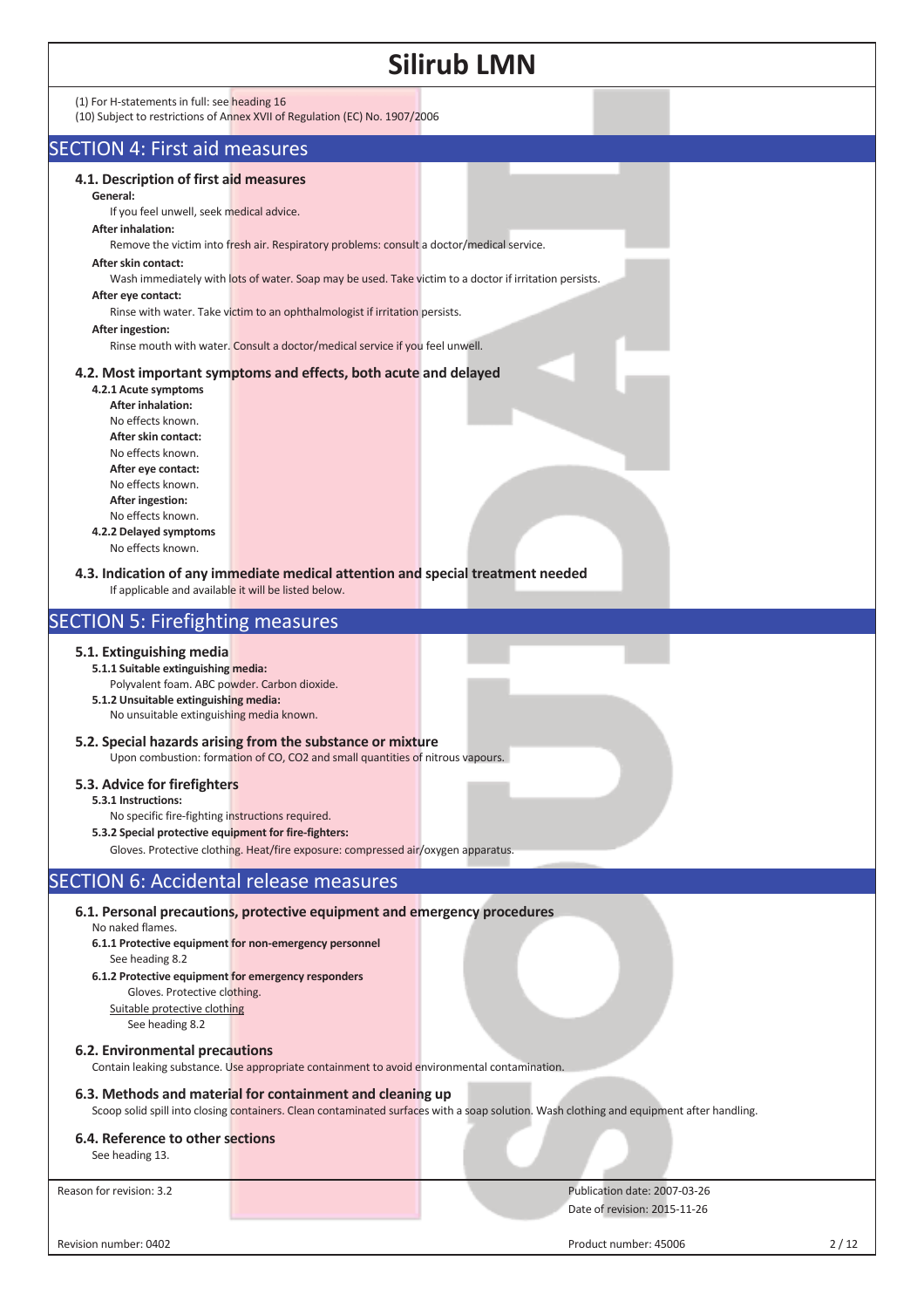|                                                                                                                                                                                                                                                                                                                                                                                                                                                                                                             |                                                                                                                                                                                                                                                                                                                                                                                                                                                                                                                           | <b>Silirub LMN</b>                                                                                                                       |      |
|-------------------------------------------------------------------------------------------------------------------------------------------------------------------------------------------------------------------------------------------------------------------------------------------------------------------------------------------------------------------------------------------------------------------------------------------------------------------------------------------------------------|---------------------------------------------------------------------------------------------------------------------------------------------------------------------------------------------------------------------------------------------------------------------------------------------------------------------------------------------------------------------------------------------------------------------------------------------------------------------------------------------------------------------------|------------------------------------------------------------------------------------------------------------------------------------------|------|
| (1) For H-statements in full: see heading 16                                                                                                                                                                                                                                                                                                                                                                                                                                                                | (10) Subject to restrictions of Annex XVII of Regulation (EC) No. 1907/2006                                                                                                                                                                                                                                                                                                                                                                                                                                               |                                                                                                                                          |      |
| <b>SECTION 4: First aid measures</b>                                                                                                                                                                                                                                                                                                                                                                                                                                                                        |                                                                                                                                                                                                                                                                                                                                                                                                                                                                                                                           |                                                                                                                                          |      |
| 4.1. Description of first aid measures<br>General:<br>If you feel unwell, seek medical advice.<br><b>After inhalation:</b><br>After skin contact:<br>After eye contact:<br>After ingestion:<br>4.2.1 Acute symptoms<br><b>After inhalation:</b><br>No effects known.<br>After skin contact:<br>No effects known.<br>After eye contact:<br>No effects known.<br>After ingestion:<br>No effects known.<br>4.2.2 Delayed symptoms<br>No effects known.<br>If applicable and available it will be listed below. | Remove the victim into fresh air. Respiratory problems: consult a doctor/medical service.<br>Wash immediately with lots of water. Soap may be used. Take victim to a doctor if irritation persists.<br>Rinse with water. Take victim to an ophthalmologist if irritation persists.<br>Rinse mouth with water. Consult a doctor/medical service if you feel unwell.<br>4.2. Most important symptoms and effects, both acute and delayed<br>4.3. Indication of any immediate medical attention and special treatment needed |                                                                                                                                          |      |
| <b>SECTION 5: Firefighting measures</b>                                                                                                                                                                                                                                                                                                                                                                                                                                                                     |                                                                                                                                                                                                                                                                                                                                                                                                                                                                                                                           |                                                                                                                                          |      |
| 5.1. Extinguishing media<br>5.1.1 Suitable extinguishing media:<br>Polyvalent foam. ABC powder. Carbon dioxide.<br>5.1.2 Unsuitable extinguishing media:<br>No unsuitable extinguishing media known.<br>5.3. Advice for firefighters<br>5.3.1 Instructions:<br>No specific fire-fighting instructions required.<br>5.3.2 Special protective equipment for fire-fighters:                                                                                                                                    | 5.2. Special hazards arising from the substance or mixture<br>Upon combustion: formation of CO, CO2 and small quantities of nitrous vapours.<br>Gloves. Protective clothing. Heat/fire exposure: compressed air/oxygen apparatus.                                                                                                                                                                                                                                                                                         |                                                                                                                                          |      |
| <b>SECTION 6: Accidental release measures</b>                                                                                                                                                                                                                                                                                                                                                                                                                                                               |                                                                                                                                                                                                                                                                                                                                                                                                                                                                                                                           |                                                                                                                                          |      |
| No naked flames.<br>See heading 8.2<br>6.1.2 Protective equipment for emergency responders<br>Gloves. Protective clothing.<br>Suitable protective clothing<br>See heading 8.2<br>6.2. Environmental precautions                                                                                                                                                                                                                                                                                             | 6.1. Personal precautions, protective equipment and emergency procedures<br>6.1.1 Protective equipment for non-emergency personnel<br>Contain leaking substance. Use appropriate containment to avoid environmental contamination.                                                                                                                                                                                                                                                                                        |                                                                                                                                          |      |
|                                                                                                                                                                                                                                                                                                                                                                                                                                                                                                             | 6.3. Methods and material for containment and cleaning up                                                                                                                                                                                                                                                                                                                                                                                                                                                                 |                                                                                                                                          |      |
|                                                                                                                                                                                                                                                                                                                                                                                                                                                                                                             |                                                                                                                                                                                                                                                                                                                                                                                                                                                                                                                           | Scoop solid spill into closing containers. Clean contaminated surfaces with a soap solution. Wash clothing and equipment after handling. |      |
| 6.4. Reference to other sections<br>See heading 13.                                                                                                                                                                                                                                                                                                                                                                                                                                                         |                                                                                                                                                                                                                                                                                                                                                                                                                                                                                                                           |                                                                                                                                          |      |
| Reason for revision: 3.2                                                                                                                                                                                                                                                                                                                                                                                                                                                                                    |                                                                                                                                                                                                                                                                                                                                                                                                                                                                                                                           | Publication date: 2007-03-26<br>Date of revision: 2015-11-26                                                                             |      |
| Revision number: 0402                                                                                                                                                                                                                                                                                                                                                                                                                                                                                       |                                                                                                                                                                                                                                                                                                                                                                                                                                                                                                                           | Product number: 45006                                                                                                                    | 2/12 |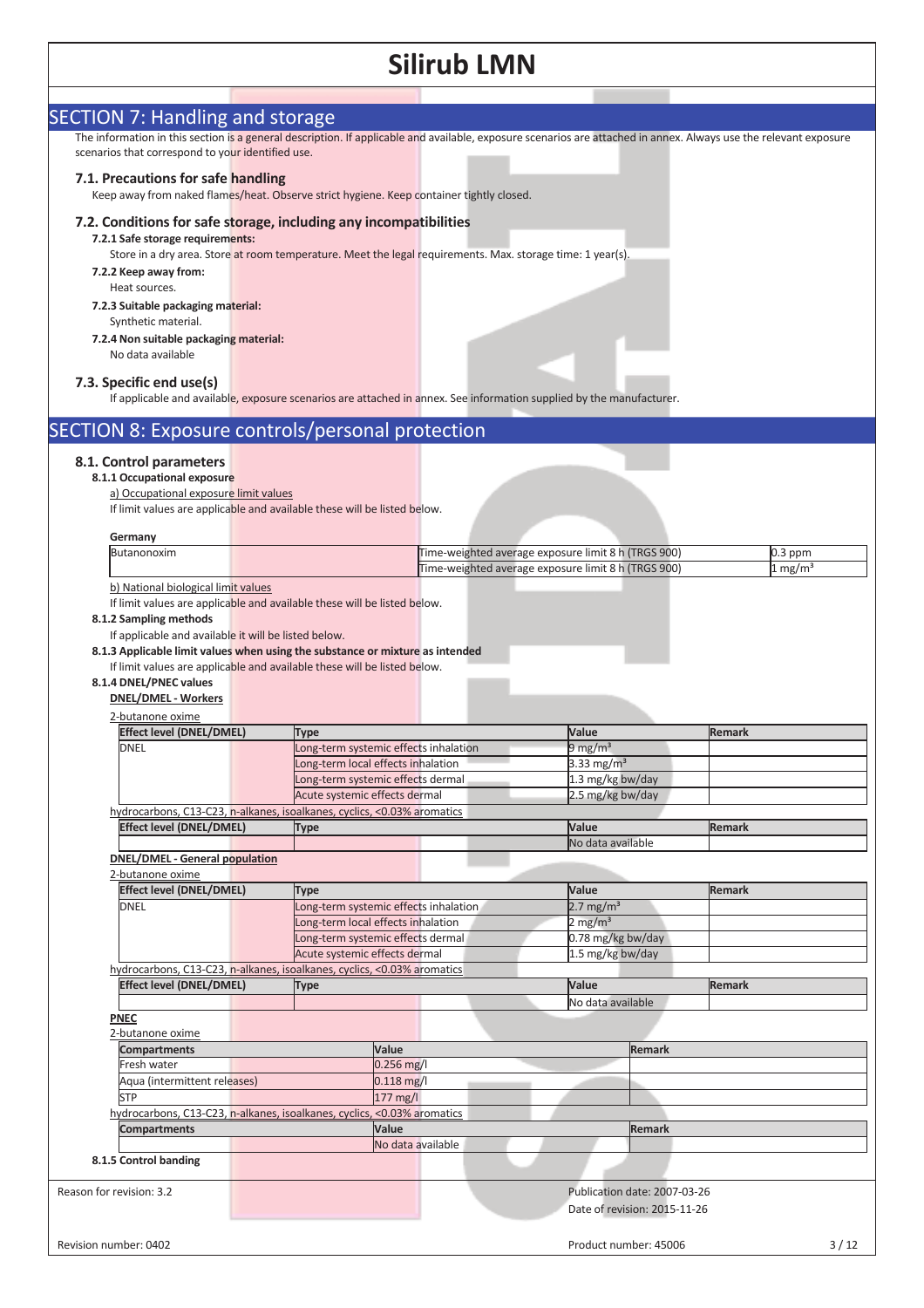| <b>SECTION 7: Handling and storage</b>                                                                                                                    |                                                                             |                   |                                                     |                                            |                              | The information in this section is a general description. If applicable and available, exposure scenarios are attached in annex. Always use the relevant exposure |
|-----------------------------------------------------------------------------------------------------------------------------------------------------------|-----------------------------------------------------------------------------|-------------------|-----------------------------------------------------|--------------------------------------------|------------------------------|-------------------------------------------------------------------------------------------------------------------------------------------------------------------|
| scenarios that correspond to your identified use.                                                                                                         |                                                                             |                   |                                                     |                                            |                              |                                                                                                                                                                   |
| 7.1. Precautions for safe handling                                                                                                                        |                                                                             |                   |                                                     |                                            |                              |                                                                                                                                                                   |
| Keep away from naked flames/heat. Observe strict hygiene. Keep container tightly closed.                                                                  |                                                                             |                   |                                                     |                                            |                              |                                                                                                                                                                   |
| 7.2. Conditions for safe storage, including any incompatibilities                                                                                         |                                                                             |                   |                                                     |                                            |                              |                                                                                                                                                                   |
| 7.2.1 Safe storage requirements:                                                                                                                          |                                                                             |                   |                                                     |                                            |                              |                                                                                                                                                                   |
| Store in a dry area. Store at room temperature. Meet the legal requirements. Max. storage time: 1 year(s).                                                |                                                                             |                   |                                                     |                                            |                              |                                                                                                                                                                   |
| 7.2.2 Keep away from:<br>Heat sources.                                                                                                                    |                                                                             |                   |                                                     |                                            |                              |                                                                                                                                                                   |
| 7.2.3 Suitable packaging material:                                                                                                                        |                                                                             |                   |                                                     |                                            |                              |                                                                                                                                                                   |
| Synthetic material.                                                                                                                                       |                                                                             |                   |                                                     |                                            |                              |                                                                                                                                                                   |
| 7.2.4 Non suitable packaging material:                                                                                                                    |                                                                             |                   |                                                     |                                            |                              |                                                                                                                                                                   |
| No data available                                                                                                                                         |                                                                             |                   |                                                     |                                            |                              |                                                                                                                                                                   |
| 7.3. Specific end use(s)                                                                                                                                  |                                                                             |                   |                                                     |                                            |                              |                                                                                                                                                                   |
| If applicable and available, exposure scenarios are attached in annex. See information supplied by the manufacturer.                                      |                                                                             |                   |                                                     |                                            |                              |                                                                                                                                                                   |
| <b>SECTION 8: Exposure controls/personal protection</b>                                                                                                   |                                                                             |                   |                                                     |                                            |                              |                                                                                                                                                                   |
|                                                                                                                                                           |                                                                             |                   |                                                     |                                            |                              |                                                                                                                                                                   |
| 8.1. Control parameters<br>8.1.1 Occupational exposure                                                                                                    |                                                                             |                   |                                                     |                                            |                              |                                                                                                                                                                   |
| a) Occupational exposure limit values                                                                                                                     |                                                                             |                   |                                                     |                                            |                              |                                                                                                                                                                   |
| If limit values are applicable and available these will be listed below.                                                                                  |                                                                             |                   |                                                     |                                            |                              |                                                                                                                                                                   |
| Germany                                                                                                                                                   |                                                                             |                   |                                                     |                                            |                              |                                                                                                                                                                   |
| Butanonoxim                                                                                                                                               |                                                                             |                   | Time-weighted average exposure limit 8 h (TRGS 900) |                                            |                              | 0.3 ppm                                                                                                                                                           |
| b) National biological limit values                                                                                                                       |                                                                             |                   | Time-weighted average exposure limit 8 h (TRGS 900) |                                            |                              | $1 \text{ mg/m}^3$                                                                                                                                                |
| If limit values are applicable and available these will be listed below.                                                                                  |                                                                             |                   |                                                     |                                            |                              |                                                                                                                                                                   |
| 8.1.2 Sampling methods                                                                                                                                    |                                                                             |                   |                                                     |                                            |                              |                                                                                                                                                                   |
| If applicable and available it will be listed below.                                                                                                      |                                                                             |                   |                                                     |                                            |                              |                                                                                                                                                                   |
| 8.1.3 Applicable limit values when using the substance or mixture as intended<br>If limit values are applicable and available these will be listed below. |                                                                             |                   |                                                     |                                            |                              |                                                                                                                                                                   |
| 8.1.4 DNEL/PNEC values                                                                                                                                    |                                                                             |                   |                                                     |                                            |                              |                                                                                                                                                                   |
| <b>DNEL/DMEL - Workers</b>                                                                                                                                |                                                                             |                   |                                                     |                                            |                              |                                                                                                                                                                   |
| 2-butanone oxime<br><b>Effect level (DNEL/DMEL)</b>                                                                                                       |                                                                             |                   |                                                     | Value                                      |                              | Remark                                                                                                                                                            |
| <b>DNEL</b>                                                                                                                                               | <b>Type</b><br>Long-term systemic effects inhalation                        |                   |                                                     | 9 mg/m <sup>3</sup>                        |                              |                                                                                                                                                                   |
|                                                                                                                                                           | Long-term local effects inhalation                                          |                   |                                                     | 3.33 mg/m <sup>3</sup>                     |                              |                                                                                                                                                                   |
|                                                                                                                                                           | Long-term systemic effects dermal<br>Acute systemic effects dermal          |                   |                                                     |                                            | 1.3 mg/kg bw/day             |                                                                                                                                                                   |
| hydrocarbons, C13-C23, n-alkanes, isoalkanes, cyclics, <0.03% aromatics                                                                                   |                                                                             |                   |                                                     | 2.5 mg/kg bw/day                           |                              |                                                                                                                                                                   |
| <b>Effect level (DNEL/DMEL)</b>                                                                                                                           | <b>Type</b>                                                                 |                   |                                                     | Value                                      |                              | <b>Remark</b>                                                                                                                                                     |
| <b>DNEL/DMEL - General population</b>                                                                                                                     |                                                                             |                   |                                                     | No data available                          |                              |                                                                                                                                                                   |
| 2-butanone oxime                                                                                                                                          |                                                                             |                   |                                                     |                                            |                              |                                                                                                                                                                   |
| <b>Effect level (DNEL/DMEL)</b>                                                                                                                           | <b>Type</b>                                                                 |                   |                                                     | Value                                      |                              | <b>Remark</b>                                                                                                                                                     |
| <b>DNEL</b>                                                                                                                                               | Long-term systemic effects inhalation<br>Long-term local effects inhalation |                   |                                                     | $2.7 \text{ mg/m}^3$<br>$2 \text{ mg/m}^3$ |                              |                                                                                                                                                                   |
|                                                                                                                                                           | Long-term systemic effects dermal                                           |                   |                                                     |                                            | 0.78 mg/kg bw/day            |                                                                                                                                                                   |
|                                                                                                                                                           | Acute systemic effects dermal                                               |                   |                                                     |                                            | 1.5 mg/kg bw/day             |                                                                                                                                                                   |
| hydrocarbons, C13-C23, n-alkanes, isoalkanes, cyclics, <0.03% aromatics<br><b>Effect level (DNEL/DMEL)</b>                                                | <b>Type</b>                                                                 |                   |                                                     | Value                                      |                              | <b>Remark</b>                                                                                                                                                     |
|                                                                                                                                                           |                                                                             |                   |                                                     |                                            | No data available            |                                                                                                                                                                   |
| <b>PNEC</b>                                                                                                                                               |                                                                             |                   |                                                     |                                            |                              |                                                                                                                                                                   |
| 2-butanone oxime<br><b>Compartments</b>                                                                                                                   |                                                                             | Value             |                                                     |                                            | <b>Remark</b>                |                                                                                                                                                                   |
| Fresh water                                                                                                                                               |                                                                             | $0.256$ mg/l      |                                                     |                                            |                              |                                                                                                                                                                   |
| Aqua (intermittent releases)                                                                                                                              |                                                                             | $0.118$ mg/l      |                                                     |                                            |                              |                                                                                                                                                                   |
| <b>STP</b><br>hydrocarbons, C13-C23, n-alkanes, isoalkanes, cyclics, <0.03% aromatics                                                                     |                                                                             | 177 mg/l          |                                                     |                                            |                              |                                                                                                                                                                   |
| <b>Compartments</b>                                                                                                                                       |                                                                             | Value             |                                                     |                                            | <b>Remark</b>                |                                                                                                                                                                   |
|                                                                                                                                                           |                                                                             | No data available |                                                     |                                            |                              |                                                                                                                                                                   |
| 8.1.5 Control banding                                                                                                                                     |                                                                             |                   |                                                     |                                            |                              |                                                                                                                                                                   |
| Reason for revision: 3.2                                                                                                                                  |                                                                             |                   |                                                     |                                            | Publication date: 2007-03-26 |                                                                                                                                                                   |
|                                                                                                                                                           |                                                                             |                   |                                                     |                                            | Date of revision: 2015-11-26 |                                                                                                                                                                   |
|                                                                                                                                                           |                                                                             |                   |                                                     |                                            |                              |                                                                                                                                                                   |
| Revision number: 0402                                                                                                                                     |                                                                             |                   |                                                     |                                            | Product number: 45006        | $3/12$                                                                                                                                                            |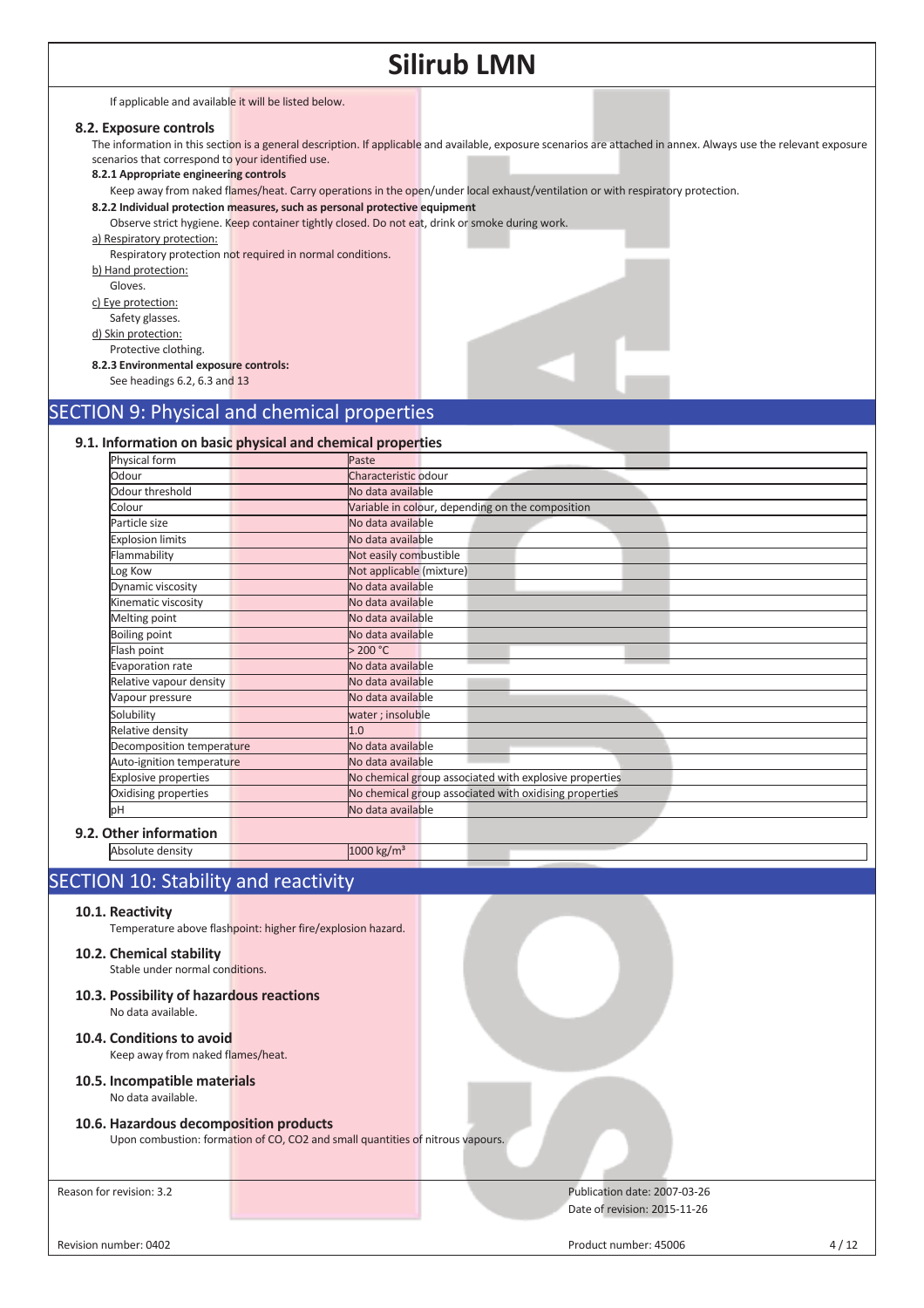|                                                                                                                                                                                                                                                                                                                                                         | <b>Silirub LMN</b>                                                                                                                                                                                                                                                                                                                                                                                                                                                                                                                                |
|---------------------------------------------------------------------------------------------------------------------------------------------------------------------------------------------------------------------------------------------------------------------------------------------------------------------------------------------------------|---------------------------------------------------------------------------------------------------------------------------------------------------------------------------------------------------------------------------------------------------------------------------------------------------------------------------------------------------------------------------------------------------------------------------------------------------------------------------------------------------------------------------------------------------|
| If applicable and available it will be listed below.                                                                                                                                                                                                                                                                                                    |                                                                                                                                                                                                                                                                                                                                                                                                                                                                                                                                                   |
| 8.2. Exposure controls<br>scenarios that correspond to your identified use.<br>8.2.1 Appropriate engineering controls<br>a) Respiratory protection:<br>b) Hand protection:<br>Gloves.<br>c) Eye protection:<br>Safety glasses.<br>d) Skin protection:<br>Protective clothing.<br>8.2.3 Environmental exposure controls:<br>See headings 6.2, 6.3 and 13 | The information in this section is a general description. If applicable and available, exposure scenarios are attached in annex. Always use the relevant exposure<br>Keep away from naked flames/heat. Carry operations in the open/under local exhaust/ventilation or with respiratory protection.<br>8.2.2 Individual protection measures, such as personal protective equipment<br>Observe strict hygiene. Keep container tightly closed. Do not eat, drink or smoke during work.<br>Respiratory protection not required in normal conditions. |
|                                                                                                                                                                                                                                                                                                                                                         | <b>SECTION 9: Physical and chemical properties</b>                                                                                                                                                                                                                                                                                                                                                                                                                                                                                                |
|                                                                                                                                                                                                                                                                                                                                                         |                                                                                                                                                                                                                                                                                                                                                                                                                                                                                                                                                   |
|                                                                                                                                                                                                                                                                                                                                                         | 9.1. Information on basic physical and chemical properties                                                                                                                                                                                                                                                                                                                                                                                                                                                                                        |
| Physical form                                                                                                                                                                                                                                                                                                                                           | Paste                                                                                                                                                                                                                                                                                                                                                                                                                                                                                                                                             |
| Odour                                                                                                                                                                                                                                                                                                                                                   | Characteristic odour                                                                                                                                                                                                                                                                                                                                                                                                                                                                                                                              |
| Odour threshold                                                                                                                                                                                                                                                                                                                                         | No data available                                                                                                                                                                                                                                                                                                                                                                                                                                                                                                                                 |
| Colour                                                                                                                                                                                                                                                                                                                                                  | Variable in colour, depending on the composition                                                                                                                                                                                                                                                                                                                                                                                                                                                                                                  |
| Particle size                                                                                                                                                                                                                                                                                                                                           | No data available                                                                                                                                                                                                                                                                                                                                                                                                                                                                                                                                 |
| <b>Explosion limits</b>                                                                                                                                                                                                                                                                                                                                 | No data available                                                                                                                                                                                                                                                                                                                                                                                                                                                                                                                                 |
| Flammability                                                                                                                                                                                                                                                                                                                                            | Not easily combustible                                                                                                                                                                                                                                                                                                                                                                                                                                                                                                                            |
| Log Kow                                                                                                                                                                                                                                                                                                                                                 | Not applicable (mixture)                                                                                                                                                                                                                                                                                                                                                                                                                                                                                                                          |
| Dynamic viscosity                                                                                                                                                                                                                                                                                                                                       | No data available                                                                                                                                                                                                                                                                                                                                                                                                                                                                                                                                 |
| Kinematic viscosity                                                                                                                                                                                                                                                                                                                                     | No data available                                                                                                                                                                                                                                                                                                                                                                                                                                                                                                                                 |
| Melting point                                                                                                                                                                                                                                                                                                                                           | No data available                                                                                                                                                                                                                                                                                                                                                                                                                                                                                                                                 |
| <b>Boiling point</b>                                                                                                                                                                                                                                                                                                                                    | No data available                                                                                                                                                                                                                                                                                                                                                                                                                                                                                                                                 |
| Flash point                                                                                                                                                                                                                                                                                                                                             | > 200 °C                                                                                                                                                                                                                                                                                                                                                                                                                                                                                                                                          |
| <b>Evaporation rate</b>                                                                                                                                                                                                                                                                                                                                 | No data available                                                                                                                                                                                                                                                                                                                                                                                                                                                                                                                                 |
| Relative vapour density                                                                                                                                                                                                                                                                                                                                 | No data available                                                                                                                                                                                                                                                                                                                                                                                                                                                                                                                                 |
| Vapour pressure                                                                                                                                                                                                                                                                                                                                         | No data available                                                                                                                                                                                                                                                                                                                                                                                                                                                                                                                                 |
| Solubility                                                                                                                                                                                                                                                                                                                                              | water; insoluble                                                                                                                                                                                                                                                                                                                                                                                                                                                                                                                                  |
| Relative density                                                                                                                                                                                                                                                                                                                                        | 1.0                                                                                                                                                                                                                                                                                                                                                                                                                                                                                                                                               |
| Decomposition temperature                                                                                                                                                                                                                                                                                                                               | No data available                                                                                                                                                                                                                                                                                                                                                                                                                                                                                                                                 |
| Auto-ignition temperature                                                                                                                                                                                                                                                                                                                               | No data available                                                                                                                                                                                                                                                                                                                                                                                                                                                                                                                                 |
| <b>Explosive properties</b>                                                                                                                                                                                                                                                                                                                             | No chemical group associated with explosive properties                                                                                                                                                                                                                                                                                                                                                                                                                                                                                            |
| Oxidising properties                                                                                                                                                                                                                                                                                                                                    | No chemical group associated with oxidising properties                                                                                                                                                                                                                                                                                                                                                                                                                                                                                            |
| þН                                                                                                                                                                                                                                                                                                                                                      | No data available                                                                                                                                                                                                                                                                                                                                                                                                                                                                                                                                 |
| 9.2. Other information                                                                                                                                                                                                                                                                                                                                  |                                                                                                                                                                                                                                                                                                                                                                                                                                                                                                                                                   |
| Absolute density                                                                                                                                                                                                                                                                                                                                        | $1000 \text{ kg/m}^3$                                                                                                                                                                                                                                                                                                                                                                                                                                                                                                                             |

## SECTION 10: Stability and reactivity

### **10.1. Reactivity**

Temperature above flashpoint: higher fire/explosion hazard.

## **10.2. Chemical stability**

Stable under normal conditions.

- **10.3. Possibility of hazardous reactions**  No data available.
- **10.4. Conditions to avoid**  Keep away from naked flames/heat.

#### **10.5. Incompatible materials**  No data available.

### **10.6. Hazardous decomposition products**

Upon combustion: formation of CO, CO2 and small quantities of nitrous vapours.

Reason for revision: 3.2 Publication date: 2007-03-26 Date of revision: 2015-11-26

Revision number: 0402 4/12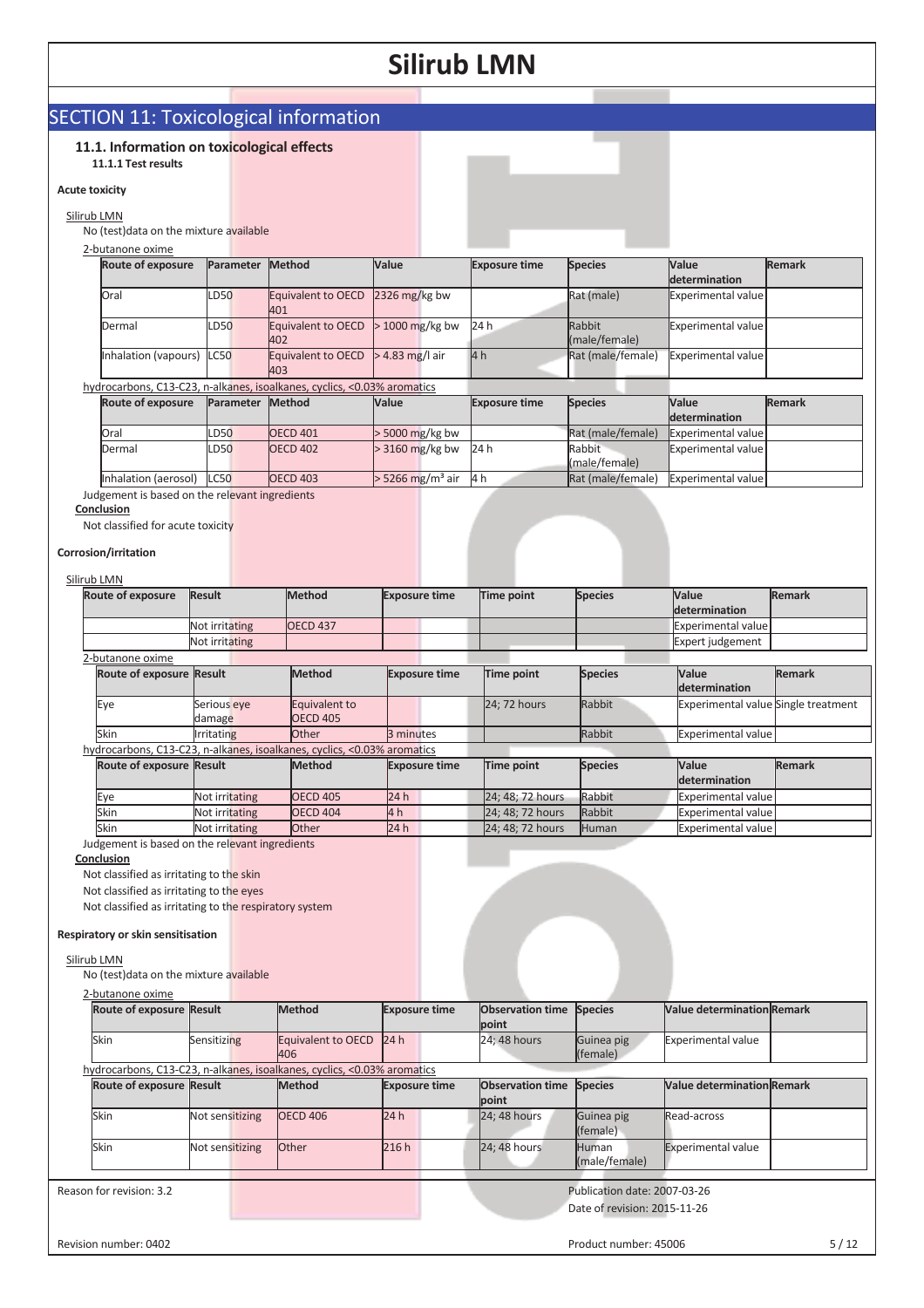## SECTION 11: Toxicological information

### **11.1. Information on toxicological effects**

#### **11.1.1 Test results**

#### **Acute toxicity**

## Silirub LMN

No (test)data on the mixture available

2-butanone oxime

| <b>Route of exposure</b>  | Parameter        | <b>Method</b>                           | Value             | <b>Exposure time</b> | <b>Species</b>          | Value                     | <b>Remark</b> |
|---------------------------|------------------|-----------------------------------------|-------------------|----------------------|-------------------------|---------------------------|---------------|
|                           |                  |                                         |                   |                      |                         | determination             |               |
| Oral                      | <b>LD50</b>      | Equivalent to OECD 2326 mg/kg bw<br>401 |                   |                      | Rat (male)              | Experimental value        |               |
| Dermal                    | LD <sub>50</sub> | Equivalent to OECD<br>402               | $> 1000$ mg/kg bw | 24 h                 | Rabbit<br>(male/female) | <b>Experimental value</b> |               |
| Inhalation (vapours) LC50 |                  | Equivalent to OECD<br>403               | $>$ 4.83 mg/l air | 4h                   | Rat (male/female)       | Experimental value        |               |

### hydrocarbons, C13-C23, n-alkanes, isoalkanes, cyclics, <0.03% aromatics

| Route of exposure                              | Parameter Method |  | Value           | <b>Species</b><br><b>Exposure time</b> |      | <b>Value</b>      | <b>Remark</b>             |  |
|------------------------------------------------|------------------|--|-----------------|----------------------------------------|------|-------------------|---------------------------|--|
|                                                |                  |  |                 |                                        |      |                   | <b>determination</b>      |  |
| Oral                                           | <b>LD50</b>      |  | <b>OECD 401</b> | $>$ 5000 mg/kg bw                      |      | Rat (male/female) | Experimental value        |  |
| Dermal                                         | <b>LD50</b>      |  | <b>OECD 402</b> | $>$ 3160 mg/kg bw                      | 24 h | Rabbit            | <b>Experimental value</b> |  |
|                                                |                  |  |                 |                                        |      | (male/female)     |                           |  |
| Inhalation (aerosol)   LC50                    |                  |  | <b>OECD 403</b> | $>$ 5266 mg/m <sup>3</sup> air         | 4 h  | Rat (male/female) | <b>Experimental value</b> |  |
| ludgement is based on the relevant ingredients |                  |  |                 |                                        |      |                   |                           |  |

#### **Conclusion**

Not classified for acute toxicity

#### **Corrosion/irritation**

#### Silirub LMN

| <b>Route of exposure</b>        | <b>Result</b>         | Method                                                                  | <b>Exposure time</b> | Time point       | <b>Species</b> | <b>Value</b><br>determination       | <b>Remark</b> |
|---------------------------------|-----------------------|-------------------------------------------------------------------------|----------------------|------------------|----------------|-------------------------------------|---------------|
|                                 | Not irritating        | <b>OECD 437</b>                                                         |                      |                  |                | <b>Experimental value</b>           |               |
|                                 | Not irritating        |                                                                         |                      |                  |                | Expert judgement                    |               |
| 2-butanone oxime                |                       |                                                                         |                      |                  |                |                                     |               |
| <b>Route of exposure Result</b> |                       | <b>Method</b>                                                           | <b>Exposure time</b> | Time point       | <b>Species</b> | Value<br>determination              | <b>Remark</b> |
| Eye                             | Serious eye<br>damage | Equivalent to<br><b>OECD 405</b>                                        |                      | 24; 72 hours     | Rabbit         | Experimental value Single treatment |               |
| Skin                            | <b>Irritating</b>     | Other                                                                   | 3 minutes            |                  | Rabbit         | Experimental value                  |               |
|                                 |                       | hydrocarbons, C13-C23, n-alkanes, isoalkanes, cyclics, <0.03% aromatics |                      |                  |                |                                     |               |
| <b>Route of exposure Result</b> |                       | <b>Method</b>                                                           | <b>Exposure time</b> | Time point       | <b>Species</b> | Value<br>determination              | <b>Remark</b> |
| Eye                             | Not irritating        | <b>OECD 405</b>                                                         | 24h                  | 24; 48; 72 hours | Rabbit         | Experimental value                  |               |
| Skin                            | Not irritating        | <b>OECD 404</b>                                                         | 4 <sub>h</sub>       | 24; 48; 72 hours | Rabbit         | <b>Experimental value</b>           |               |
| Skin                            | Not irritating        | <b>Other</b>                                                            | 24h                  | 24; 48; 72 hours | Human          | Experimental value                  |               |

Judgement is based on the relevant ingredients

### **Conclusion**

Not classified as irritating to the skin

Not classified as irritating to the eyes

Not classified as irritating to the respiratory system

#### **Respiratory or skin sensitisation**

#### Silirub LMN

No (test)data on the mixture available

| 2-butanone oxime |
|------------------|
|------------------|

| <b>Route of exposure Result</b> |                 | Method                                                                  | <b>Exposure time</b> | <b>Observation time</b><br>point | <b>Species</b>         | <b>Value determination Remark</b> |  |
|---------------------------------|-----------------|-------------------------------------------------------------------------|----------------------|----------------------------------|------------------------|-----------------------------------|--|
| <b>Skin</b>                     | Sensitizing     | Equivalent to OECD<br>406                                               | 24h                  | 24; 48 hours                     | Guinea pig<br>(female) | <b>Experimental value</b>         |  |
|                                 |                 | hydrocarbons, C13-C23, n-alkanes, isoalkanes, cyclics, <0.03% aromatics |                      |                                  |                        |                                   |  |
| <b>Route of exposure Result</b> |                 | <b>Method</b>                                                           | <b>Exposure time</b> | <b>Observation time</b><br>point | <b>Species</b>         | <b>Value determination Remark</b> |  |
| Skin                            | Not sensitizing | <b>OECD 406</b>                                                         | 24h                  | 24; 48 hours                     | Guinea pig<br>(female) | Read-across                       |  |
| Skin                            | Not sensitizing | <b>Other</b>                                                            | 216h                 | 24; 48 hours                     | Human<br>(male/female) | <b>Experimental value</b>         |  |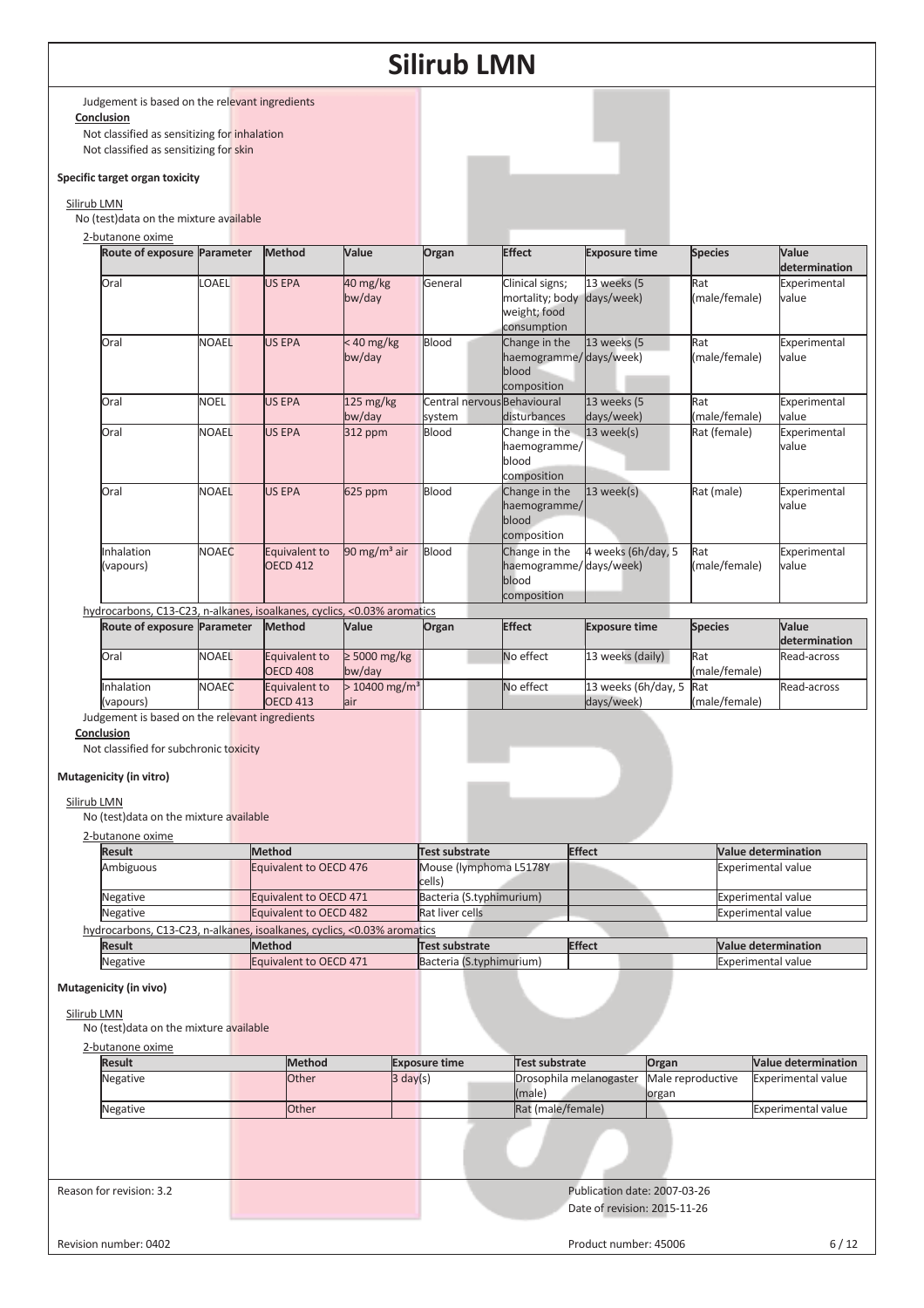Judgement is based on the relevant ingredients **Conclusion** 

Not classified as sensitizing for inhalation Not classified as sensitizing for skin

#### **Specific target organ toxicity**

#### Silirub LMN

No (test)data on the mixture available

#### 2-butanone oxime

| Route of exposure Parameter                                             |              | Method                           | Value                               | Organ                                 | <b>Effect</b>                                                                | <b>Exposure time</b>              | <b>Species</b>       | Value<br>determination |
|-------------------------------------------------------------------------|--------------|----------------------------------|-------------------------------------|---------------------------------------|------------------------------------------------------------------------------|-----------------------------------|----------------------|------------------------|
| <b>Oral</b>                                                             | <b>OAEL</b>  | <b>US EPA</b>                    | 40 mg/kg<br>bw/day                  | General                               | Clinical signs;<br>mortality; body days/week)<br>weight; food<br>consumption | 13 weeks (5                       | Rat<br>(male/female) | Experimental<br>value  |
| Oral                                                                    | <b>NOAEL</b> | <b>US EPA</b>                    | $< 40$ mg/kg<br>bw/day              | Blood                                 | Change in the<br>haemogramme/days/week)<br>blood<br>composition              | 13 weeks (5                       | Rat<br>(male/female) | Experimental<br>value  |
| Oral                                                                    | <b>NOEL</b>  | <b>US EPA</b>                    | $125 \text{ mg/kg}$<br>bw/day       | Central nervous Behavioural<br>system | disturbances                                                                 | 13 weeks (5<br>days/week)         | Rat<br>(male/female) | Experimental<br>value  |
| <b>Oral</b>                                                             | <b>NOAEL</b> | <b>US EPA</b>                    | 312 ppm                             | Blood                                 | Change in the<br>haemogramme/<br>blood<br>composition                        | 13 week(s)                        | Rat (female)         | Experimental<br>value  |
| <b>Oral</b>                                                             | <b>NOAEL</b> | <b>US EPA</b>                    | 625 ppm                             | Blood                                 | Change in the<br>haemogramme/<br>blood<br>composition                        | 13 week(s)                        | Rat (male)           | Experimental<br>value  |
| Inhalation<br>(vapours)                                                 | <b>NOAEC</b> | Equivalent to<br><b>OECD 412</b> | $90 \text{ mg/m}^3$ air             | Blood                                 | Change in the<br>haemogramme/days/week)<br>blood<br>composition              | 4 weeks (6h/day, 5                | Rat<br>(male/female) | Experimental<br>value  |
| hydrocarbons, C13-C23, n-alkanes, isoalkanes, cyclics, <0.03% aromatics |              |                                  |                                     |                                       |                                                                              |                                   |                      |                        |
| Route of exposure Parameter                                             |              | Method                           | Value                               | Organ                                 | <b>Effect</b>                                                                | <b>Exposure time</b>              | <b>Species</b>       | Value<br>determination |
| <b>Oral</b>                                                             | <b>NOAEL</b> | Equivalent to<br><b>OECD 408</b> | $\geq 5000$ mg/kg<br>bw/day         |                                       | No effect                                                                    | 13 weeks (daily)                  | Rat<br>(male/female) | Read-across            |
| Inhalation<br>(vapours)                                                 | <b>NOAEC</b> | Equivalent to<br><b>OECD 413</b> | $> 10400$ mg/m <sup>3</sup><br>lair |                                       | No effect                                                                    | 13 weeks (6h/day, 5<br>days/week) | Rat<br>(male/female) | Read-across            |
| Judgement is based on the relevant ingredients                          |              |                                  |                                     |                                       |                                                                              |                                   |                      |                        |

**Conclusion** 

Not classified for subchronic toxicity

#### **Mutagenicity (in vitro)**

#### Silirub LMN

No (test)data on the mixture available

2-butanone oxime

| 2-DULATIONE UAINE |               |                                                                         |                          |               |                            |
|-------------------|---------------|-------------------------------------------------------------------------|--------------------------|---------------|----------------------------|
| <b>Result</b>     | <b>Method</b> |                                                                         | Test substrate           | <b>Effect</b> | <b>Value determination</b> |
| Ambiguous         |               | Equivalent to OECD 476                                                  | Mouse (lymphoma L5178Y   |               | <b>Experimental value</b>  |
|                   |               |                                                                         | cells)                   |               |                            |
| Negative          |               | Equivalent to OECD 471                                                  | Bacteria (S.typhimurium) |               | <b>Experimental value</b>  |
| Negative          |               | Equivalent to OECD 482                                                  | Rat liver cells          |               | Experimental value         |
|                   |               | hydrocarbons, C13-C23, n-alkanes, isoalkanes, cyclics, <0.03% aromatics |                          |               |                            |
| <b>Result</b>     |               | <b>Method</b>                                                           | Test substrate           | <b>Effect</b> | <b>Value determination</b> |
| Negative          |               | Equivalent to OECD 471                                                  | Bacteria (S.typhimurium) |               | <b>Experimental value</b>  |

#### **Mutagenicity (in vivo)**

#### Silirub LMN

No (test)data on the mixture available

2-butanone oxime

| <b>Result</b>            | Method       | <b>Exposure time</b> | Test substrate               | Organ             | Value determination       |
|--------------------------|--------------|----------------------|------------------------------|-------------------|---------------------------|
| Negative                 | <b>Other</b> | $3 \text{ day}(s)$   | Drosophila melanogaster      | Male reproductive | <b>Experimental value</b> |
|                          |              |                      | (male)                       | organ             |                           |
| Negative                 | <b>Other</b> |                      | Rat (male/female)            |                   | <b>Experimental value</b> |
|                          |              |                      |                              |                   |                           |
| Reason for revision: 3.2 |              |                      | Publication date: 2007-03-26 |                   |                           |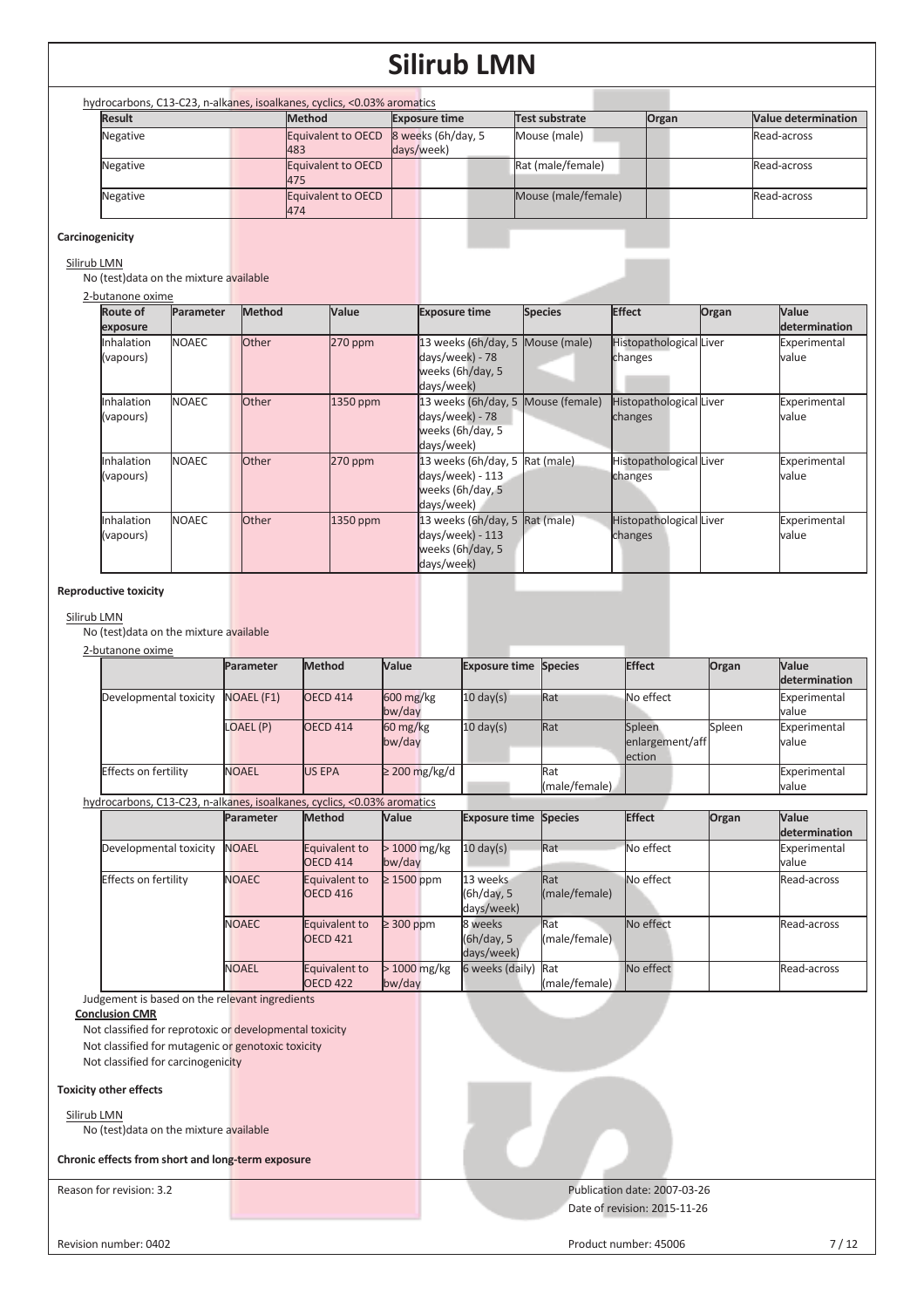| hydrocarbons, C13-C23, n-alkanes, isoalkanes, cyclics, <0.03% aromatics |  |                           |                                  |                     |       |                            |
|-------------------------------------------------------------------------|--|---------------------------|----------------------------------|---------------------|-------|----------------------------|
| <b>Result</b>                                                           |  | <b>Method</b>             | <b>Exposure time</b>             | Test substrate      | Organ | <b>Value determination</b> |
| Negative                                                                |  | Equivalent to OECD<br>483 | 8 weeks (6h/day, 5<br>days/week) | Mouse (male)        |       | Read-across                |
| Negative                                                                |  | Equivalent to OECD<br>475 |                                  | Rat (male/female)   |       | Read-across                |
| Negative                                                                |  | Equivalent to OECD<br>474 |                                  | Mouse (male/female) |       | Read-across                |

#### **Carcinogenicity**

## Silirub LMN

No (test)data on the mixture available

2-butanone oxin

| -butanone oxime |                  |               |              |                                    |                |                         |       |               |
|-----------------|------------------|---------------|--------------|------------------------------------|----------------|-------------------------|-------|---------------|
| Route of        | <b>Parameter</b> | <b>Method</b> | <b>Value</b> | <b>Exposure time</b>               | <b>Species</b> | <b>Effect</b>           | Organ | Value         |
| exposure        |                  |               |              |                                    |                |                         |       | determination |
| Inhalation      | <b>NOAEC</b>     | <b>Other</b>  | $270$ ppm    | 13 weeks (6h/day, 5 Mouse (male)   |                | Histopathological Liver |       | Experimental  |
| (vapours)       |                  |               |              | days/week) - 78                    |                | changes                 |       | value         |
|                 |                  |               |              | weeks (6h/day, 5                   |                |                         |       |               |
|                 |                  |               |              | days/week)                         |                |                         |       |               |
| Inhalation      | <b>NOAEC</b>     | <b>Other</b>  | 1350 ppm     | 13 weeks (6h/day, 5 Mouse (female) |                | Histopathological Liver |       | Experimental  |
| (vapours)       |                  |               |              | days/week) - 78                    |                | changes                 |       | value         |
|                 |                  |               |              | weeks (6h/day, 5                   |                |                         |       |               |
|                 |                  |               |              | days/week)                         |                |                         |       |               |
| Inhalation      | <b>NOAEC</b>     | <b>Other</b>  | $270$ ppm    | 13 weeks (6h/day, 5 $Rat$ (male)   |                | Histopathological Liver |       | Experimental  |
| (vapours)       |                  |               |              | days/week) - 113                   |                | changes                 |       | value         |
|                 |                  |               |              | weeks (6h/day, 5                   |                |                         |       |               |
|                 |                  |               |              | days/week)                         |                |                         |       |               |
| Inhalation      | NOAEC            | <b>Other</b>  | 1350 ppm     | 13 weeks (6h/day, 5 $Rat$ (male)   |                | Histopathological Liver |       | Experimental  |
| (vapours)       |                  |               |              | days/week) - 113                   |                | changes                 |       | value         |
|                 |                  |               |              | weeks (6h/day, 5                   |                |                         |       |               |
|                 |                  |               |              | days/week)                         |                |                         |       |               |

#### **Reproductive toxicity**

#### Silirub LMN

No (test)data on the mixture available

|                             | Parameter         | Method          | Value                            | <b>Exposure time Species</b> |               | Effect          | Organ  | <b>Value</b>  |
|-----------------------------|-------------------|-----------------|----------------------------------|------------------------------|---------------|-----------------|--------|---------------|
|                             |                   |                 |                                  |                              |               |                 |        | determination |
| Developmental toxicity      | <b>NOAEL (F1)</b> | <b>OECD 414</b> | $600$ mg/kg                      | $10 \text{ day(s)}$          | Rat           | No effect       |        | Experimental  |
|                             |                   |                 | bw/day                           |                              |               |                 |        | value         |
|                             | LOAEL (P)         | <b>OECD 414</b> | $60 \frac{\text{mg}}{\text{kg}}$ | $10 \text{ day(s)}$          | Rat           | Spleen          | Spleen | Experimental  |
|                             |                   |                 | bw/day                           |                              |               | enlargement/aff |        | value         |
|                             |                   |                 |                                  |                              |               | ection          |        |               |
| <b>Effects on fertility</b> | <b>NOAEL</b>      | <b>US EPA</b>   | $\geq$ 200 mg/kg/d               |                              | Rat           |                 |        | Experimental  |
|                             |                   |                 |                                  |                              | (male/female) |                 |        | value         |

|  |  | hydrocarbons, C13-C23, n-alkanes, isoalkanes, cyclics, <0.03% aromatics |  |  |
|--|--|-------------------------------------------------------------------------|--|--|
|  |  |                                                                         |  |  |

|                             | Parameter    | Method              | <b>Value</b>    | <b>Exposure time Species</b> |               | Effect    | Organ | <b>Value</b>         |
|-----------------------------|--------------|---------------------|-----------------|------------------------------|---------------|-----------|-------|----------------------|
|                             |              |                     |                 |                              |               |           |       | <b>determination</b> |
| Developmental toxicity      | <b>NOAEL</b> | Equivalent to       | $>1000$ mg/kg   | $10 \text{ day(s)}$          | Rat           | No effect |       | Experimental         |
|                             |              | OECD 414            | bw/day          |                              |               |           |       | value                |
| <b>Effects on fertility</b> | <b>NOAEC</b> | Equivalent to       | $\geq 1500$ ppm | 13 weeks                     | Rat           | No effect |       | Read-across          |
|                             |              | <b>OECD 416</b>     |                 | (6h/day, 5                   | (male/female) |           |       |                      |
|                             |              |                     |                 | days/week)                   |               |           |       |                      |
|                             | <b>NOAEC</b> | Equivalent to       | $\geq$ 300 ppm  | 8 weeks                      | Rat           | No effect |       | Read-across          |
|                             |              | OECD <sub>421</sub> |                 | (6h/day, 5                   | (male/female) |           |       |                      |
|                             |              |                     |                 | days/week)                   |               |           |       |                      |
|                             | <b>NOAEL</b> | Equivalent to       | $>1000$ mg/kg   | 6 weeks (daily) Rat          |               | No effect |       | Read-across          |
|                             |              | <b>OECD 422</b>     | bw/day          |                              | (male/female) |           |       |                      |

Judgement is based on the relevant ingredients

#### **Conclusion CMR**

Not classified for reprotoxic or developmental toxicity

Not classified for mutagenic or genotoxic toxicity

Not classified for carcinogenicity

#### **Toxicity other effects**

Silirub LMN

No (test)data on the mixture available

**Chronic effects from short and long-term exposure** 

Reason for revision: 3.2 **Publication date: 2007-03-26** Publication date: 2007-03-26 Date of revision: 2015-11-26

Revision number: 0402 22 22 22 23 23 24 25 26 27 / 12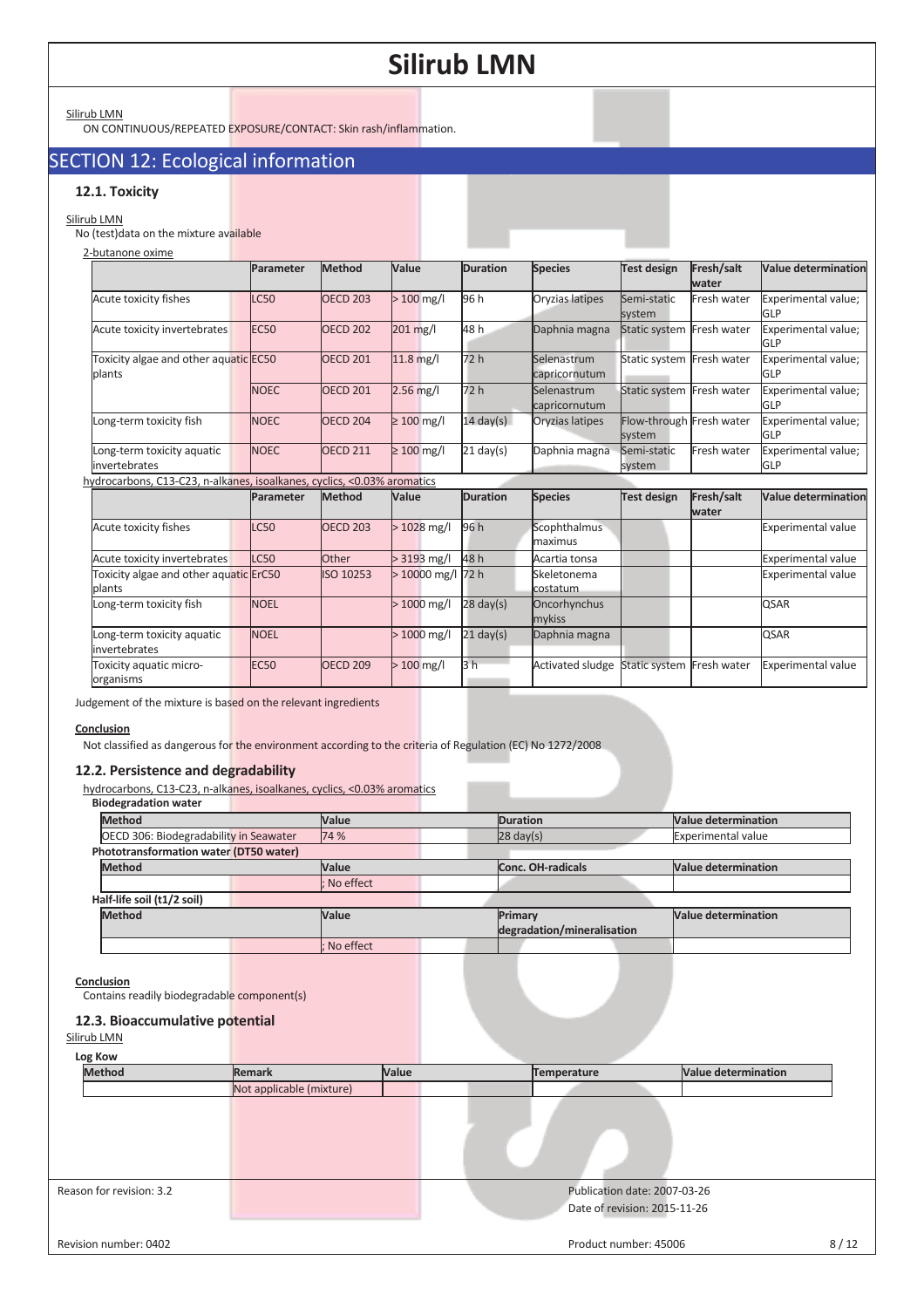Silirub LMN

ON CONTINUOUS/REPEATED EXPOSURE/CONTACT: Skin rash/inflammation.

## SECTION 12: Ecological information

### **12.1. Toxicity**

### Silirub LMN

No (test)data on the mixture available

| 2-butanone oxime                                                        |             |                     |                 |                     |                 |                           |             |                            |
|-------------------------------------------------------------------------|-------------|---------------------|-----------------|---------------------|-----------------|---------------------------|-------------|----------------------------|
|                                                                         | Parameter   | Method              | Value           | <b>Duration</b>     | <b>Species</b>  | Test design               | Fresh/salt  | <b>Value determination</b> |
|                                                                         |             |                     |                 |                     |                 |                           | water       |                            |
| Acute toxicity fishes                                                   | LC50        | <b>OECD 203</b>     | $>100$ mg/l     | 96 h                | Oryzias latipes | Semi-static               | Fresh water | Experimental value;        |
|                                                                         |             |                     |                 |                     |                 | system                    |             | GLP                        |
| Acute toxicity invertebrates                                            | <b>EC50</b> | <b>OECD 202</b>     | 201 mg/l        | 48 h                | Daphnia magna   | Static system Fresh water |             | Experimental value;        |
|                                                                         |             |                     |                 |                     |                 |                           |             | <b>GLP</b>                 |
| Toxicity algae and other aquatic EC50                                   |             | <b>OECD 201</b>     | $11.8$ mg/l     | 72 h                | Selenastrum     | Static system Fresh water |             | Experimental value;        |
| plants                                                                  |             |                     |                 |                     | capricornutum   |                           |             | <b>GLP</b>                 |
|                                                                         | <b>NOEC</b> | <b>OECD 201</b>     | $2.56$ mg/l     | 72 h                | Selenastrum     | Static system Fresh water |             | Experimental value;        |
|                                                                         |             |                     |                 |                     | capricornutum   |                           |             | GLP                        |
| Long-term toxicity fish                                                 | <b>NOEC</b> | OECD <sub>204</sub> | $\geq 100$ mg/l | $14 \text{ day(s)}$ | Oryzias latipes | Flow-through Fresh water  |             | Experimental value;        |
|                                                                         |             |                     |                 |                     |                 | system                    |             | <b>GLP</b>                 |
| Long-term toxicity aquatic                                              | <b>NOEC</b> | <b>OECD 211</b>     | $\geq 100$ mg/l | $21 \text{ day(s)}$ | Daphnia magna   | Semi-static               | Fresh water | Experimental value;        |
| invertebrates                                                           |             |                     |                 |                     |                 | system                    |             | <b>GLP</b>                 |
| hydrocarbons, C13-C23, n-alkanes, isoalkanes, cyclics, <0.03% aromatics |             |                     |                 |                     |                 |                           |             |                            |

|                                                  | Parameter   | <b>Method</b>   | Value              | <b>Duration</b>     | <b>Species</b>          | <b>Test design</b>        | Fresh/salt<br><b>water</b> | <b>Value determination</b> |
|--------------------------------------------------|-------------|-----------------|--------------------|---------------------|-------------------------|---------------------------|----------------------------|----------------------------|
| Acute toxicity fishes                            | <b>LC50</b> | <b>OECD 203</b> | $>1028$ mg/l       | 96 h                | Scophthalmus<br>maximus |                           |                            | Experimental value         |
| Acute toxicity invertebrates                     | LC50        | Other           | $> 3193$ mg/l      | 48 h                | Acartia tonsa           |                           |                            | <b>Experimental value</b>  |
| Toxicity algae and other aquatic ErC50<br>plants |             | ISO 10253       | $>10000$ mg/l 72 h |                     | Skeletonema<br>costatum |                           |                            | <b>Experimental value</b>  |
| Long-term toxicity fish                          | <b>NOEL</b> |                 | $>1000$ mg/l       | $28 \text{ day(s)}$ | Oncorhynchus<br>mykiss  |                           |                            | <b>QSAR</b>                |
| Long-term toxicity aquatic<br>invertebrates      | <b>NOEL</b> |                 | $>1000$ mg/l       | $21 \text{ day(s)}$ | Daphnia magna           |                           |                            | <b>QSAR</b>                |
| Toxicity aquatic micro-<br>organisms             | <b>EC50</b> | <b>OECD 209</b> | $>100$ mg/l        | 3 <sub>h</sub>      | <b>Activated sludge</b> | Static system Fresh water |                            | <b>Experimental value</b>  |

Judgement of the mixture is based on the relevant ingredients

#### **Conclusion**

Not classified as dangerous for the environment according to the criteria of Regulation (EC) No 1272/2008

#### **12.2. Persistence and degradability**

hydrocarbons, C13-C23, n-alkanes, isoalkanes, cyclics, <0.03% aromatics

| <b>Biodegradation water</b>            |             |                            |                            |
|----------------------------------------|-------------|----------------------------|----------------------------|
| <b>Method</b>                          | Value       | <b>Duration</b>            | <b>Value determination</b> |
| OECD 306: Biodegradability in Seawater | 74 %        | $28 \text{ day}(s)$        | <b>Experimental value</b>  |
| Phototransformation water (DT50 water) |             |                            |                            |
| <b>Method</b>                          | Value       | Conc. OH-radicals          | <b>Value determination</b> |
|                                        | : No effect |                            |                            |
| Half-life soil (t1/2 soil)             |             |                            |                            |
| <b>Method</b>                          | Value       | Primary                    | Value determination        |
|                                        |             | degradation/mineralisation |                            |
|                                        | No effect   |                            |                            |

#### **Conclusion**

Contains readily biodegradable component(s)

### **12.3. Bioaccumulative potential**

| Log Kow                  |                          |       |                              |                            |      |
|--------------------------|--------------------------|-------|------------------------------|----------------------------|------|
| <b>Method</b>            | Remark                   | Value | Temperature                  | <b>Value determination</b> |      |
|                          | Not applicable (mixture) |       |                              |                            |      |
|                          |                          |       |                              |                            |      |
|                          |                          |       |                              |                            |      |
|                          |                          |       |                              |                            |      |
|                          |                          |       |                              |                            |      |
| Reason for revision: 3.2 |                          |       | Publication date: 2007-03-26 |                            |      |
|                          |                          |       | Date of revision: 2015-11-26 |                            |      |
|                          |                          |       |                              |                            |      |
| Revision number: 0402    |                          |       | Product number: 45006        |                            | 8/12 |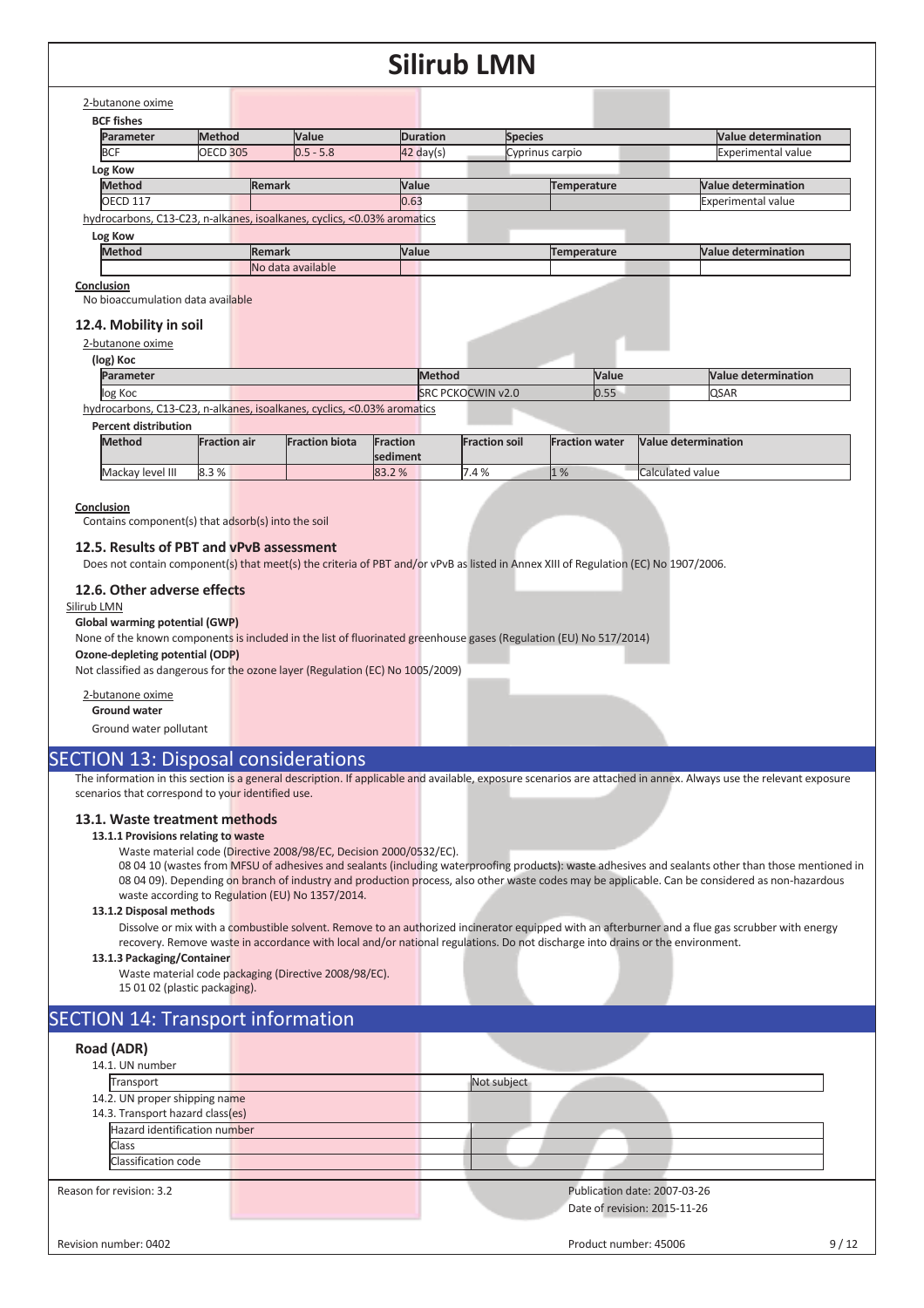## 2-butanone oxime

| <b>BCF fishes</b>                 |                 |                                                                         |                     |                    |                            |
|-----------------------------------|-----------------|-------------------------------------------------------------------------|---------------------|--------------------|----------------------------|
| Parameter                         | <b>Method</b>   | <b>Value</b>                                                            | <b>Duration</b>     | <b>Species</b>     | <b>Value determination</b> |
| <b>BCF</b>                        | <b>OECD 305</b> | $0.5 - 5.8$                                                             | $42 \text{ day}(s)$ | Cyprinus carpio    | <b>Experimental value</b>  |
| Log Kow                           |                 |                                                                         |                     |                    |                            |
| <b>Method</b>                     |                 | <b>Remark</b>                                                           | Value               | <b>Temperature</b> | <b>Value determination</b> |
| <b>OECD 117</b>                   |                 |                                                                         | 0.63                |                    | <b>Experimental value</b>  |
|                                   |                 | hydrocarbons, C13-C23, n-alkanes, isoalkanes, cyclics, <0.03% aromatics |                     |                    |                            |
| Log Kow                           |                 |                                                                         |                     |                    |                            |
| <b>Method</b>                     |                 | <b>Remark</b>                                                           | Value               | Temperature        | <b>Value determination</b> |
|                                   |                 | No data available                                                       |                     |                    |                            |
| Conclusion                        |                 |                                                                         |                     |                    |                            |
| No bioaccumulation data available |                 |                                                                         |                     |                    |                            |
| 12.4. Mobility in soil            |                 |                                                                         |                     |                    |                            |
| 2-butanone oxime                  |                 |                                                                         |                     |                    |                            |

**Parameter Value Value Value Value Value Value Value Value Value Value Value Value Value Value Value Value Value Value Value Value Value Value Value Value Value Value V** log Koc **SRC PCKOCWIN v2.0** 0.55 QSAR

hydrocarbons, C13-C23, n-alkanes, isoalkanes, cyclics, <0.03% aromatics

#### **Percent distribution**

| <b>Method</b>    | <b>Fraction air</b> | <b>Fraction biota</b> | Fraction<br>sediment | <b>Fraction soil</b> | <b>Fraction water</b> | Value determination |
|------------------|---------------------|-----------------------|----------------------|----------------------|-----------------------|---------------------|
| Mackay level III | 8.3%                |                       | 83.2%                | 7.4%<br>r            | $1\%$                 | Calculated value    |

#### **Conclusion**

**(log) Koc** 

Contains component(s) that adsorb(s) into the soil

#### **12.5. Results of PBT and vPvB assessment**

Does not contain component(s) that meet(s) the criteria of PBT and/or vPvB as listed in Annex XIII of Regulation (EC) No 1907/2006.

#### **12.6. Other adverse effects**

#### Silirub LMN

### **Global warming potential (GWP)**

None of the known components is included in the list of fluorinated greenhouse gases (Regulation (EU) No 517/2014)

#### **Ozone-depleting potential (ODP)**

Not classified as dangerous for the ozone layer (Regulation (EC) No 1005/2009)

#### 2-butanone oxime

**Ground water** 

Ground water pollutant

### SECTION 13: Disposal considerations

The information in this section is a general description. If applicable and available, exposure scenarios are attached in annex. Always use the relevant exposure scenarios that correspond to your identified use.

#### **13.1. Waste treatment methods**

#### **13.1.1 Provisions relating to waste**

Waste material code (Directive 2008/98/EC, Decision 2000/0532/EC).

08 04 10 (wastes from MFSU of adhesives and sealants (including waterproofing products): waste adhesives and sealants other than those mentioned in 08 04 09). Depending on branch of industry and production process, also other waste codes may be applicable. Can be considered as non-hazardous waste according to Regulation (EU) No 1357/2014.

#### **13.1.2 Disposal methods**

Dissolve or mix with a combustible solvent. Remove to an authorized incinerator equipped with an afterburner and a flue gas scrubber with energy recovery. Remove waste in accordance with local and/or national regulations. Do not discharge into drains or the environment.

#### **13.1.3 Packaging/Container**

Waste material code packaging (Directive 2008/98/EC). 15 01 02 (plastic packaging).

## SECTION 14: Transport information

## **Road (ADR)**

| 14.1. UN number                                                   |                              |
|-------------------------------------------------------------------|------------------------------|
| Transport                                                         | Not subject                  |
| 14.2. UN proper shipping name<br>14.3. Transport hazard class(es) |                              |
| Hazard identification number                                      |                              |
| <b>Class</b>                                                      |                              |
| Classification code                                               |                              |
| Reason for revision: 3.2                                          | Publication date: 2007-03-26 |
|                                                                   | Date of revision: 2015-11-26 |
|                                                                   |                              |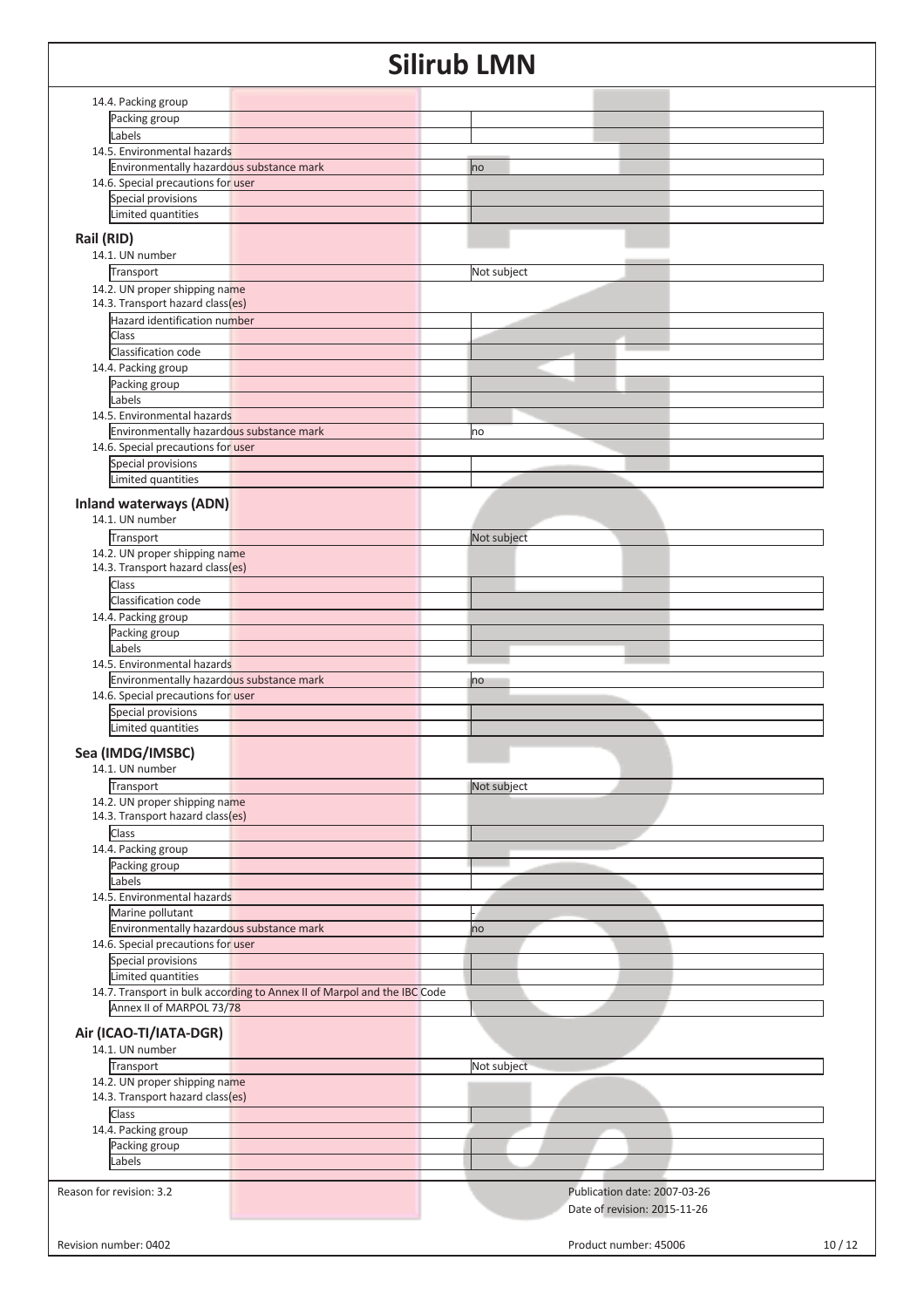|                                                                          | U I I I<br><b>UN</b>           |
|--------------------------------------------------------------------------|--------------------------------|
|                                                                          |                                |
| 14.4. Packing group<br>Packing group                                     |                                |
| Labels                                                                   |                                |
| 14.5. Environmental hazards                                              |                                |
| Environmentally hazardous substance mark                                 | no                             |
| 14.6. Special precautions for user                                       |                                |
| Special provisions                                                       |                                |
| Limited quantities                                                       |                                |
|                                                                          |                                |
| Rail (RID)<br>14.1. UN number                                            |                                |
| Transport                                                                | Not subject                    |
| 14.2. UN proper shipping name                                            |                                |
| 14.3. Transport hazard class(es)                                         |                                |
| Hazard identification number                                             |                                |
| Class                                                                    |                                |
| Classification code                                                      |                                |
| 14.4. Packing group                                                      |                                |
| Packing group                                                            |                                |
| Labels                                                                   |                                |
| 14.5. Environmental hazards                                              |                                |
| Environmentally hazardous substance mark                                 | no                             |
| 14.6. Special precautions for user                                       |                                |
| Special provisions                                                       |                                |
| Limited quantities                                                       |                                |
| <b>Inland waterways (ADN)</b>                                            |                                |
| 14.1. UN number                                                          |                                |
| Transport                                                                | Not subject                    |
| 14.2. UN proper shipping name                                            |                                |
| 14.3. Transport hazard class(es)                                         |                                |
| Class                                                                    |                                |
| Classification code                                                      |                                |
| 14.4. Packing group                                                      |                                |
| Packing group                                                            |                                |
| Labels                                                                   |                                |
| 14.5. Environmental hazards                                              |                                |
| Environmentally hazardous substance mark                                 | no                             |
| 14.6. Special precautions for user                                       |                                |
| Special provisions                                                       |                                |
| Limited quantities                                                       |                                |
| Sea (IMDG/IMSBC)                                                         |                                |
| 14.1. UN number                                                          |                                |
| Transport                                                                | Not subject                    |
| 14.2. UN proper shipping name                                            |                                |
| 14.3. Transport hazard class(es)                                         |                                |
| Class                                                                    |                                |
| 14.4. Packing group                                                      |                                |
| Packing group                                                            |                                |
| Labels                                                                   |                                |
| 14.5. Environmental hazards                                              |                                |
| Marine pollutant                                                         |                                |
| Environmentally hazardous substance mark                                 | no                             |
| 14.6. Special precautions for user                                       |                                |
| Special provisions                                                       |                                |
| Limited quantities                                                       |                                |
| 14.7. Transport in bulk according to Annex II of Marpol and the IBC Code |                                |
| Annex II of MARPOL 73/78                                                 |                                |
| Air (ICAO-TI/IATA-DGR)                                                   |                                |
| 14.1. UN number                                                          |                                |
| Transport                                                                | Not subject                    |
| 14.2. UN proper shipping name                                            |                                |
| 14.3. Transport hazard class(es)                                         |                                |
| Class                                                                    |                                |
| 14.4. Packing group                                                      |                                |
| Packing group                                                            |                                |
| Labels                                                                   |                                |
|                                                                          |                                |
| Reason for revision: 3.2                                                 | Publication date: 2007-03-26   |
|                                                                          |                                |
|                                                                          | Date of revision: 2015-11-26   |
| Revision number: 0402                                                    | 10/12<br>Product number: 45006 |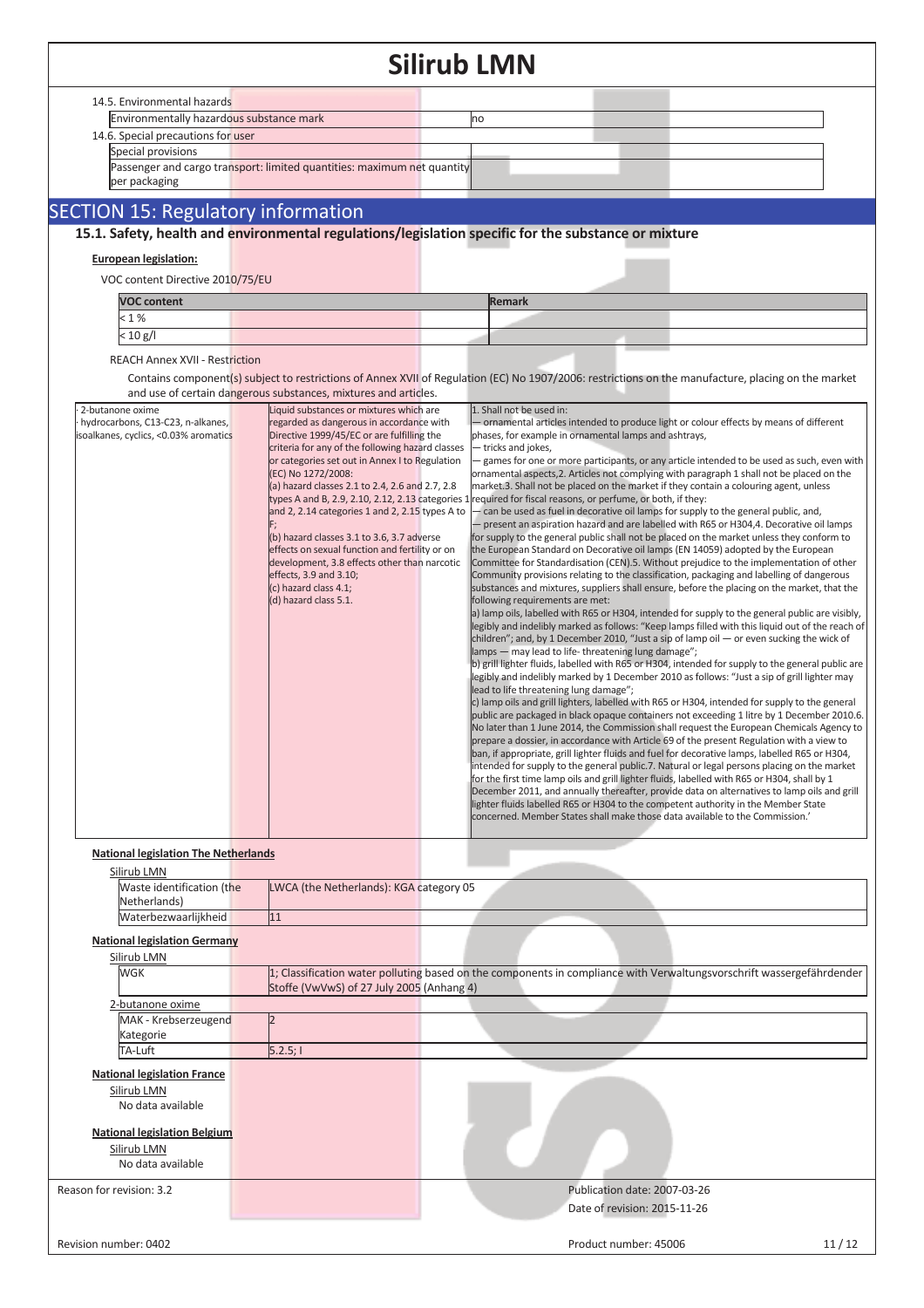|                                             | SIIIrud Livin                                                                                        |                                                                                                                                                                                                     |
|---------------------------------------------|------------------------------------------------------------------------------------------------------|-----------------------------------------------------------------------------------------------------------------------------------------------------------------------------------------------------|
| 14.5. Environmental hazards                 |                                                                                                      |                                                                                                                                                                                                     |
| Environmentally hazardous substance mark    |                                                                                                      | no                                                                                                                                                                                                  |
| 14.6. Special precautions for user          |                                                                                                      |                                                                                                                                                                                                     |
| Special provisions                          |                                                                                                      |                                                                                                                                                                                                     |
|                                             | Passenger and cargo transport: limited quantities: maximum net quantity                              |                                                                                                                                                                                                     |
| per packaging                               |                                                                                                      |                                                                                                                                                                                                     |
| <b>SECTION 15: Regulatory information</b>   |                                                                                                      |                                                                                                                                                                                                     |
|                                             |                                                                                                      | 15.1. Safety, health and environmental regulations/legislation specific for the substance or mixture                                                                                                |
|                                             |                                                                                                      |                                                                                                                                                                                                     |
| <b>European legislation:</b>                |                                                                                                      |                                                                                                                                                                                                     |
| VOC content Directive 2010/75/EU            |                                                                                                      |                                                                                                                                                                                                     |
| <b>VOC content</b>                          |                                                                                                      | <b>Remark</b>                                                                                                                                                                                       |
| < 1%                                        |                                                                                                      |                                                                                                                                                                                                     |
| < 10 g/l                                    |                                                                                                      |                                                                                                                                                                                                     |
| <b>REACH Annex XVII - Restriction</b>       |                                                                                                      |                                                                                                                                                                                                     |
|                                             |                                                                                                      | Contains component(s) subject to restrictions of Annex XVII of Regulation (EC) No 1907/2006: restrictions on the manufacture, placing on the market                                                 |
|                                             | and use of certain dangerous substances, mixtures and articles.                                      |                                                                                                                                                                                                     |
| 2-butanone oxime                            | Liquid substances or mixtures which are                                                              | 1. Shall not be used in:                                                                                                                                                                            |
| hydrocarbons, C13-C23, n-alkanes,           | regarded as dangerous in accordance with                                                             | - ornamental articles intended to produce light or colour effects by means of different                                                                                                             |
| isoalkanes, cyclics, <0.03% aromatics       | Directive 1999/45/EC or are fulfilling the<br>criteria for any of the following hazard classes       | phases, for example in ornamental lamps and ashtrays,                                                                                                                                               |
|                                             | or categories set out in Annex I to Regulation                                                       | - tricks and jokes,<br>- games for one or more participants, or any article intended to be used as such, even with                                                                                  |
|                                             | (EC) No 1272/2008:                                                                                   | ornamental aspects, 2. Articles not complying with paragraph 1 shall not be placed on the                                                                                                           |
|                                             | (a) hazard classes 2.1 to 2.4, 2.6 and 2.7, 2.8                                                      | market.3. Shall not be placed on the market if they contain a colouring agent, unless                                                                                                               |
|                                             | types A and B, 2.9, 2.10, 2.12, 2.13 categories 1<br>and 2, 2.14 categories 1 and 2, 2.15 types A to | required for fiscal reasons, or perfume, or both, if they:<br>can be used as fuel in decorative oil lamps for supply to the general public, and,                                                    |
|                                             |                                                                                                      | - present an aspiration hazard and are labelled with R65 or H304,4. Decorative oil lamps                                                                                                            |
|                                             | (b) hazard classes 3.1 to 3.6, 3.7 adverse                                                           | for supply to the general public shall not be placed on the market unless they conform to                                                                                                           |
|                                             | effects on sexual function and fertility or on<br>development, 3.8 effects other than narcotic       | the European Standard on Decorative oil lamps (EN 14059) adopted by the European<br>Committee for Standardisation (CEN).5. Without prejudice to the implementation of other                         |
|                                             | effects, 3.9 and 3.10;                                                                               | Community provisions relating to the classification, packaging and labelling of dangerous                                                                                                           |
|                                             | (c) hazard class 4.1;                                                                                | substances and mixtures, suppliers shall ensure, before the placing on the market, that the                                                                                                         |
|                                             | (d) hazard class 5.1.                                                                                | following requirements are met:                                                                                                                                                                     |
|                                             |                                                                                                      | a) lamp oils, labelled with R65 or H304, intended for supply to the general public are visibly,<br>legibly and indelibly marked as follows: "Keep lamps filled with this liquid out of the reach of |
|                                             |                                                                                                      | children"; and, by 1 December 2010, "Just a sip of lamp oil - or even sucking the wick of                                                                                                           |
|                                             |                                                                                                      | lamps - may lead to life-threatening lung damage";                                                                                                                                                  |
|                                             |                                                                                                      | b) grill lighter fluids, labelled with R65 or H304, intended for supply to the general public are<br>egibly and indelibly marked by 1 December 2010 as follows: "Just a sip of grill lighter may    |
|                                             |                                                                                                      | lead to life threatening lung damage";                                                                                                                                                              |
|                                             |                                                                                                      | c) lamp oils and grill lighters, labelled with R65 or H304, intended for supply to the general                                                                                                      |
|                                             |                                                                                                      | public are packaged in black opaque containers not exceeding 1 litre by 1 December 2010.6.<br>No later than 1 June 2014, the Commission shall request the European Chemicals Agency to              |
|                                             |                                                                                                      | prepare a dossier, in accordance with Article 69 of the present Regulation with a view to                                                                                                           |
|                                             |                                                                                                      | ban, if appropriate, grill lighter fluids and fuel for decorative lamps, labelled R65 or H304,                                                                                                      |
|                                             |                                                                                                      | intended for supply to the general public.7. Natural or legal persons placing on the market                                                                                                         |
|                                             |                                                                                                      | for the first time lamp oils and grill lighter fluids, labelled with R65 or H304, shall by 1<br>December 2011, and annually thereafter, provide data on alternatives to lamp oils and grill         |
|                                             |                                                                                                      | lighter fluids labelled R65 or H304 to the competent authority in the Member State                                                                                                                  |
|                                             |                                                                                                      | concerned. Member States shall make those data available to the Commission.'                                                                                                                        |
|                                             |                                                                                                      |                                                                                                                                                                                                     |
| <b>National legislation The Netherlands</b> |                                                                                                      |                                                                                                                                                                                                     |
| Silirub LMN                                 |                                                                                                      |                                                                                                                                                                                                     |
| Waste identification (the<br>Netherlands)   | LWCA (the Netherlands): KGA category 05                                                              |                                                                                                                                                                                                     |
| Waterbezwaarlijkheid                        | 11                                                                                                   |                                                                                                                                                                                                     |
|                                             |                                                                                                      |                                                                                                                                                                                                     |
| <b>National legislation Germany</b>         |                                                                                                      |                                                                                                                                                                                                     |
| Silirub LMN<br>WGK                          |                                                                                                      | 1; Classification water polluting based on the components in compliance with Verwaltungsvorschrift wassergefährdender                                                                               |
|                                             | Stoffe (VwVwS) of 27 July 2005 (Anhang 4)                                                            |                                                                                                                                                                                                     |
| 2-butanone oxime                            |                                                                                                      |                                                                                                                                                                                                     |
| MAK - Krebserzeugend                        |                                                                                                      |                                                                                                                                                                                                     |
| Kategorie                                   |                                                                                                      |                                                                                                                                                                                                     |
| TA-Luft                                     | 5.2.5;                                                                                               |                                                                                                                                                                                                     |
| <b>National legislation France</b>          |                                                                                                      |                                                                                                                                                                                                     |
| Silirub LMN                                 |                                                                                                      |                                                                                                                                                                                                     |
| No data available                           |                                                                                                      |                                                                                                                                                                                                     |
|                                             |                                                                                                      |                                                                                                                                                                                                     |
| <b>National legislation Belgium</b>         |                                                                                                      |                                                                                                                                                                                                     |
| Silirub LMN                                 |                                                                                                      |                                                                                                                                                                                                     |
| No data available                           |                                                                                                      |                                                                                                                                                                                                     |
| Reason for revision: 3.2                    |                                                                                                      | Publication date: 2007-03-26                                                                                                                                                                        |
|                                             |                                                                                                      | Date of revision: 2015-11-26                                                                                                                                                                        |
|                                             |                                                                                                      |                                                                                                                                                                                                     |
| Revision number: 0402                       |                                                                                                      | 11/12<br>Product number: 45006                                                                                                                                                                      |